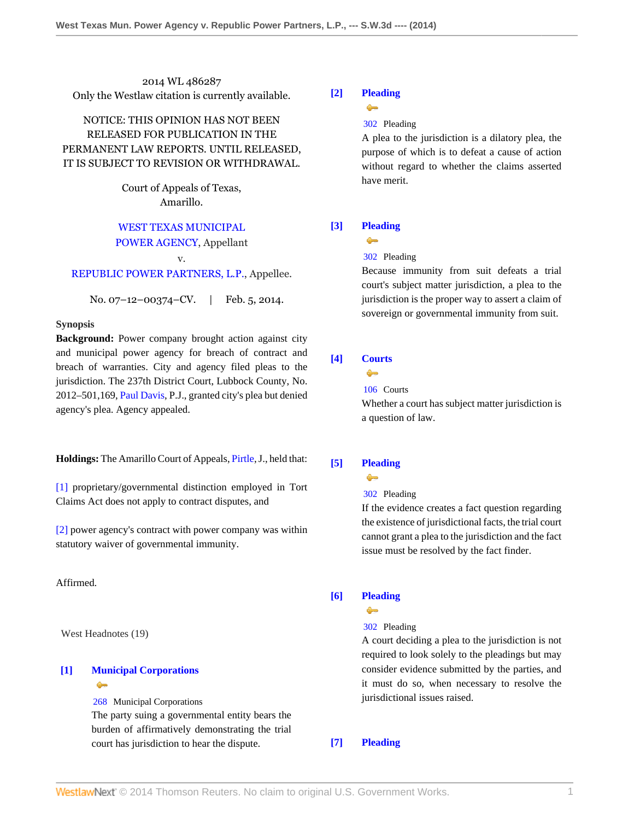2014 WL 486287 Only the Westlaw citation is currently available.

# NOTICE: THIS OPINION HAS NOT BEEN RELEASED FOR PUBLICATION IN THE PERMANENT LAW REPORTS. UNTIL RELEASED, IT IS SUBJECT TO REVISION OR WITHDRAWAL.

Court of Appeals of Texas, Amarillo.

## [WEST TEXAS MUNICIPAL](http://www.westlaw.com/Search/Results.html?query=advanced%3a+OAID(5035745461)&saveJuris=False&contentType=BUSINESS-INVESTIGATOR&startIndex=1&contextData=(sc.Default)&categoryPageUrl=Home%2fCompanyInvestigator&originationContext=document&vr=3.0&rs=cblt1.0&transitionType=DocumentItem)

### [POWER AGENCY](http://www.westlaw.com/Search/Results.html?query=advanced%3a+OAID(5035745461)&saveJuris=False&contentType=BUSINESS-INVESTIGATOR&startIndex=1&contextData=(sc.Default)&categoryPageUrl=Home%2fCompanyInvestigator&originationContext=document&vr=3.0&rs=cblt1.0&transitionType=DocumentItem), Appellant

#### v.

# [REPUBLIC POWER PARTNERS, L.P.,](http://www.westlaw.com/Search/Results.html?query=advanced%3a+OAID(5000486625)&saveJuris=False&contentType=BUSINESS-INVESTIGATOR&startIndex=1&contextData=(sc.Default)&categoryPageUrl=Home%2fCompanyInvestigator&originationContext=document&vr=3.0&rs=cblt1.0&transitionType=DocumentItem) Appellee.

No. 07–12–00374–CV. | Feb. 5, 2014.

### **Synopsis**

**Background:** Power company brought action against city and municipal power agency for breach of contract and breach of warranties. City and agency filed pleas to the jurisdiction. The 237th District Court, Lubbock County, No. 2012–501,169, [Paul Davis](http://www.westlaw.com/Link/Document/FullText?findType=h&pubNum=176284&cite=0192973601&originatingDoc=I36bb01d7902211e3a659df62eba144e8&refType=RQ&originationContext=document&vr=3.0&rs=cblt1.0&transitionType=DocumentItem&contextData=(sc.Search)), P.J., granted city's plea but denied agency's plea. Agency appealed.

**Holdings:** The Amarillo Court of Appeals, [Pirtle,](http://www.westlaw.com/Link/Document/FullText?findType=h&pubNum=176284&cite=0232507401&originatingDoc=I36bb01d7902211e3a659df62eba144e8&refType=RQ&originationContext=document&vr=3.0&rs=cblt1.0&transitionType=DocumentItem&contextData=(sc.Search)) J., held that:

[\[1\]](#page-1-0) proprietary/governmental distinction employed in Tort Claims Act does not apply to contract disputes, and

[\[2\]](#page-2-0) power agency's contract with power company was within statutory waiver of governmental immunity.

Affirmed.

West Headnotes (19)

# <span id="page-0-0"></span>**[\[1\]](#page-4-0) [Municipal Corporations](http://www.westlaw.com/Browse/Home/KeyNumber/268/View.html?docGuid=I36bb01d7902211e3a659df62eba144e8&originationContext=document&vr=3.0&rs=cblt1.0&transitionType=DocumentItem&contextData=(sc.Search))**  $\bullet$

[268](http://www.westlaw.com/Browse/Home/KeyNumber/268/View.html?docGuid=I36bb01d7902211e3a659df62eba144e8&originationContext=document&vr=3.0&rs=cblt1.0&transitionType=DocumentItem&contextData=(sc.Search)) Municipal Corporations

The party suing a governmental entity bears the burden of affirmatively demonstrating the trial court has jurisdiction to hear the dispute.

## <span id="page-0-1"></span>**[\[2\]](#page-4-1) [Pleading](http://www.westlaw.com/Browse/Home/KeyNumber/302/View.html?docGuid=I36bb01d7902211e3a659df62eba144e8&originationContext=document&vr=3.0&rs=cblt1.0&transitionType=DocumentItem&contextData=(sc.Search))**  $\bullet$

#### [302](http://www.westlaw.com/Browse/Home/KeyNumber/302/View.html?docGuid=I36bb01d7902211e3a659df62eba144e8&originationContext=document&vr=3.0&rs=cblt1.0&transitionType=DocumentItem&contextData=(sc.Search)) Pleading

A plea to the jurisdiction is a dilatory plea, the purpose of which is to defeat a cause of action without regard to whether the claims asserted have merit.

# <span id="page-0-2"></span>**[\[3\]](#page-4-2) [Pleading](http://www.westlaw.com/Browse/Home/KeyNumber/302/View.html?docGuid=I36bb01d7902211e3a659df62eba144e8&originationContext=document&vr=3.0&rs=cblt1.0&transitionType=DocumentItem&contextData=(sc.Search))**



### [302](http://www.westlaw.com/Browse/Home/KeyNumber/302/View.html?docGuid=I36bb01d7902211e3a659df62eba144e8&originationContext=document&vr=3.0&rs=cblt1.0&transitionType=DocumentItem&contextData=(sc.Search)) Pleading

Because immunity from suit defeats a trial court's subject matter jurisdiction, a plea to the jurisdiction is the proper way to assert a claim of sovereign or governmental immunity from suit.

# <span id="page-0-3"></span>**[\[4\]](#page-4-3) [Courts](http://www.westlaw.com/Browse/Home/KeyNumber/106/View.html?docGuid=I36bb01d7902211e3a659df62eba144e8&originationContext=document&vr=3.0&rs=cblt1.0&transitionType=DocumentItem&contextData=(sc.Search))**

# $\sim$

[106](http://www.westlaw.com/Browse/Home/KeyNumber/106/View.html?docGuid=I36bb01d7902211e3a659df62eba144e8&originationContext=document&vr=3.0&rs=cblt1.0&transitionType=DocumentItem&contextData=(sc.Search)) Courts

Whether a court has subject matter jurisdiction is a question of law.

# <span id="page-0-4"></span>**[\[5\]](#page-4-4) [Pleading](http://www.westlaw.com/Browse/Home/KeyNumber/302/View.html?docGuid=I36bb01d7902211e3a659df62eba144e8&originationContext=document&vr=3.0&rs=cblt1.0&transitionType=DocumentItem&contextData=(sc.Search))**

# $\bullet$

[302](http://www.westlaw.com/Browse/Home/KeyNumber/302/View.html?docGuid=I36bb01d7902211e3a659df62eba144e8&originationContext=document&vr=3.0&rs=cblt1.0&transitionType=DocumentItem&contextData=(sc.Search)) Pleading

If the evidence creates a fact question regarding the existence of jurisdictional facts, the trial court cannot grant a plea to the jurisdiction and the fact issue must be resolved by the fact finder.

### <span id="page-0-5"></span>**[\[6\]](#page-4-5) [Pleading](http://www.westlaw.com/Browse/Home/KeyNumber/302/View.html?docGuid=I36bb01d7902211e3a659df62eba144e8&originationContext=document&vr=3.0&rs=cblt1.0&transitionType=DocumentItem&contextData=(sc.Search))**

 $\sim$ 

# [302](http://www.westlaw.com/Browse/Home/KeyNumber/302/View.html?docGuid=I36bb01d7902211e3a659df62eba144e8&originationContext=document&vr=3.0&rs=cblt1.0&transitionType=DocumentItem&contextData=(sc.Search)) Pleading

A court deciding a plea to the jurisdiction is not required to look solely to the pleadings but may consider evidence submitted by the parties, and it must do so, when necessary to resolve the jurisdictional issues raised.

#### <span id="page-0-6"></span>**[\[7\]](#page-4-6) [Pleading](http://www.westlaw.com/Browse/Home/KeyNumber/302/View.html?docGuid=I36bb01d7902211e3a659df62eba144e8&originationContext=document&vr=3.0&rs=cblt1.0&transitionType=DocumentItem&contextData=(sc.Search))**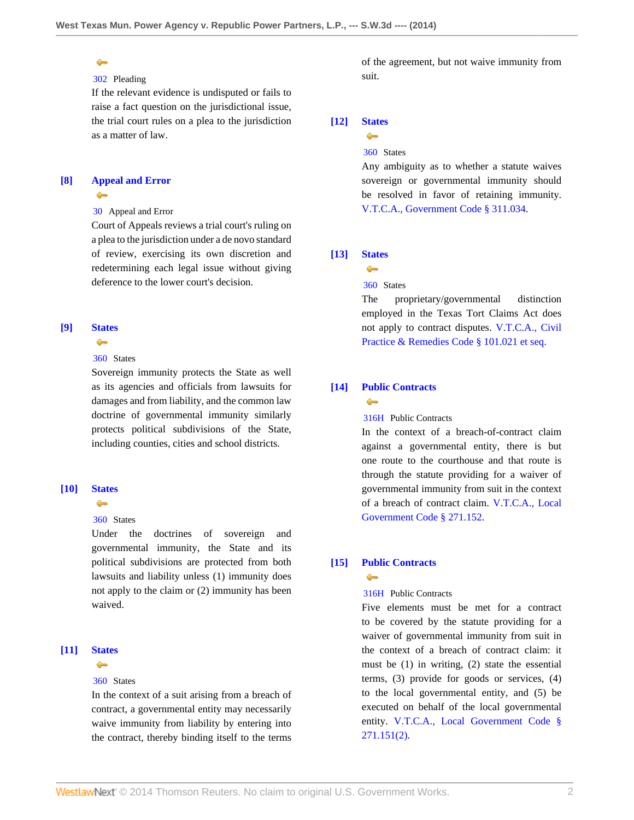# $\bullet$

# [302](http://www.westlaw.com/Browse/Home/KeyNumber/302/View.html?docGuid=I36bb01d7902211e3a659df62eba144e8&originationContext=document&vr=3.0&rs=cblt1.0&transitionType=DocumentItem&contextData=(sc.Search)) Pleading

If the relevant evidence is undisputed or fails to raise a fact question on the jurisdictional issue, the trial court rules on a plea to the jurisdiction as a matter of law.

## <span id="page-1-1"></span>**[\[8\]](#page-4-7) [Appeal and Error](http://www.westlaw.com/Browse/Home/KeyNumber/30/View.html?docGuid=I36bb01d7902211e3a659df62eba144e8&originationContext=document&vr=3.0&rs=cblt1.0&transitionType=DocumentItem&contextData=(sc.Search))**  $\rightarrow$

# [30](http://www.westlaw.com/Browse/Home/KeyNumber/30/View.html?docGuid=I36bb01d7902211e3a659df62eba144e8&originationContext=document&vr=3.0&rs=cblt1.0&transitionType=DocumentItem&contextData=(sc.Search)) Appeal and Error

Court of Appeals reviews a trial court's ruling on a plea to the jurisdiction under a de novo standard of review, exercising its own discretion and redetermining each legal issue without giving deference to the lower court's decision.

## <span id="page-1-2"></span>**[\[9\]](#page-4-8) [States](http://www.westlaw.com/Browse/Home/KeyNumber/360/View.html?docGuid=I36bb01d7902211e3a659df62eba144e8&originationContext=document&vr=3.0&rs=cblt1.0&transitionType=DocumentItem&contextData=(sc.Search))**

# $\rightarrow$

# [360](http://www.westlaw.com/Browse/Home/KeyNumber/360/View.html?docGuid=I36bb01d7902211e3a659df62eba144e8&originationContext=document&vr=3.0&rs=cblt1.0&transitionType=DocumentItem&contextData=(sc.Search)) States

Sovereign immunity protects the State as well as its agencies and officials from lawsuits for damages and from liability, and the common law doctrine of governmental immunity similarly protects political subdivisions of the State, including counties, cities and school districts.

#### <span id="page-1-3"></span>**[\[10\]](#page-4-9) [States](http://www.westlaw.com/Browse/Home/KeyNumber/360/View.html?docGuid=I36bb01d7902211e3a659df62eba144e8&originationContext=document&vr=3.0&rs=cblt1.0&transitionType=DocumentItem&contextData=(sc.Search))**

 $\bullet$ 

#### [360](http://www.westlaw.com/Browse/Home/KeyNumber/360/View.html?docGuid=I36bb01d7902211e3a659df62eba144e8&originationContext=document&vr=3.0&rs=cblt1.0&transitionType=DocumentItem&contextData=(sc.Search)) States

Under the doctrines of sovereign and governmental immunity, the State and its political subdivisions are protected from both lawsuits and liability unless (1) immunity does not apply to the claim or (2) immunity has been waived.

## <span id="page-1-4"></span>**[\[11\]](#page-4-10) [States](http://www.westlaw.com/Browse/Home/KeyNumber/360/View.html?docGuid=I36bb01d7902211e3a659df62eba144e8&originationContext=document&vr=3.0&rs=cblt1.0&transitionType=DocumentItem&contextData=(sc.Search))**

 $\sim$ 

#### [360](http://www.westlaw.com/Browse/Home/KeyNumber/360/View.html?docGuid=I36bb01d7902211e3a659df62eba144e8&originationContext=document&vr=3.0&rs=cblt1.0&transitionType=DocumentItem&contextData=(sc.Search)) States

In the context of a suit arising from a breach of contract, a governmental entity may necessarily waive immunity from liability by entering into the contract, thereby binding itself to the terms

of the agreement, but not waive immunity from suit.

# <span id="page-1-5"></span>**[\[12\]](#page-4-11) [States](http://www.westlaw.com/Browse/Home/KeyNumber/360/View.html?docGuid=I36bb01d7902211e3a659df62eba144e8&originationContext=document&vr=3.0&rs=cblt1.0&transitionType=DocumentItem&contextData=(sc.Search))**

# $\rightarrow$ [360](http://www.westlaw.com/Browse/Home/KeyNumber/360/View.html?docGuid=I36bb01d7902211e3a659df62eba144e8&originationContext=document&vr=3.0&rs=cblt1.0&transitionType=DocumentItem&contextData=(sc.Search)) States

Any ambiguity as to whether a statute waives sovereign or governmental immunity should be resolved in favor of retaining immunity. [V.T.C.A., Government Code § 311.034.](http://www.westlaw.com/Link/Document/FullText?findType=L&pubNum=1000176&cite=TXGTS311.034&originatingDoc=I36bb01d7902211e3a659df62eba144e8&refType=LQ&originationContext=document&vr=3.0&rs=cblt1.0&transitionType=DocumentItem&contextData=(sc.Search))

# <span id="page-1-0"></span>**[\[13\]](#page-5-0) [States](http://www.westlaw.com/Browse/Home/KeyNumber/360/View.html?docGuid=I36bb01d7902211e3a659df62eba144e8&originationContext=document&vr=3.0&rs=cblt1.0&transitionType=DocumentItem&contextData=(sc.Search))**

# $\rightarrow$

[360](http://www.westlaw.com/Browse/Home/KeyNumber/360/View.html?docGuid=I36bb01d7902211e3a659df62eba144e8&originationContext=document&vr=3.0&rs=cblt1.0&transitionType=DocumentItem&contextData=(sc.Search)) States

The proprietary/governmental distinction employed in the Texas Tort Claims Act does not apply to contract disputes. [V.T.C.A., Civil](http://www.westlaw.com/Link/Document/FullText?findType=L&pubNum=1000170&cite=TXCPS101.021&originatingDoc=I36bb01d7902211e3a659df62eba144e8&refType=LQ&originationContext=document&vr=3.0&rs=cblt1.0&transitionType=DocumentItem&contextData=(sc.Search)) [Practice & Remedies Code § 101.021 et seq.](http://www.westlaw.com/Link/Document/FullText?findType=L&pubNum=1000170&cite=TXCPS101.021&originatingDoc=I36bb01d7902211e3a659df62eba144e8&refType=LQ&originationContext=document&vr=3.0&rs=cblt1.0&transitionType=DocumentItem&contextData=(sc.Search))

## <span id="page-1-6"></span>**[\[14\]](#page-5-1) [Public Contracts](http://www.westlaw.com/Browse/Home/KeyNumber/316H/View.html?docGuid=I36bb01d7902211e3a659df62eba144e8&originationContext=document&vr=3.0&rs=cblt1.0&transitionType=DocumentItem&contextData=(sc.Search))**  $\bullet$

## [316H](http://www.westlaw.com/Browse/Home/KeyNumber/316H/View.html?docGuid=I36bb01d7902211e3a659df62eba144e8&originationContext=document&vr=3.0&rs=cblt1.0&transitionType=DocumentItem&contextData=(sc.Search)) Public Contracts

In the context of a breach-of-contract claim against a governmental entity, there is but one route to the courthouse and that route is through the statute providing for a waiver of governmental immunity from suit in the context of a breach of contract claim. [V.T.C.A., Local](http://www.westlaw.com/Link/Document/FullText?findType=L&pubNum=1000179&cite=TXLGS271.152&originatingDoc=I36bb01d7902211e3a659df62eba144e8&refType=LQ&originationContext=document&vr=3.0&rs=cblt1.0&transitionType=DocumentItem&contextData=(sc.Search)) [Government Code § 271.152.](http://www.westlaw.com/Link/Document/FullText?findType=L&pubNum=1000179&cite=TXLGS271.152&originatingDoc=I36bb01d7902211e3a659df62eba144e8&refType=LQ&originationContext=document&vr=3.0&rs=cblt1.0&transitionType=DocumentItem&contextData=(sc.Search))

# <span id="page-1-7"></span>**[\[15\]](#page-6-0) [Public Contracts](http://www.westlaw.com/Browse/Home/KeyNumber/316H/View.html?docGuid=I36bb01d7902211e3a659df62eba144e8&originationContext=document&vr=3.0&rs=cblt1.0&transitionType=DocumentItem&contextData=(sc.Search))**

# $\rightarrow$

# [316H](http://www.westlaw.com/Browse/Home/KeyNumber/316H/View.html?docGuid=I36bb01d7902211e3a659df62eba144e8&originationContext=document&vr=3.0&rs=cblt1.0&transitionType=DocumentItem&contextData=(sc.Search)) Public Contracts

Five elements must be met for a contract to be covered by the statute providing for a waiver of governmental immunity from suit in the context of a breach of contract claim: it must be (1) in writing, (2) state the essential terms, (3) provide for goods or services, (4) to the local governmental entity, and (5) be executed on behalf of the local governmental entity. [V.T.C.A., Local Government Code §](http://www.westlaw.com/Link/Document/FullText?findType=L&pubNum=1000179&cite=TXLGS271.151&originatingDoc=I36bb01d7902211e3a659df62eba144e8&refType=LQ&originationContext=document&vr=3.0&rs=cblt1.0&transitionType=DocumentItem&contextData=(sc.Search)) [271.151\(2\).](http://www.westlaw.com/Link/Document/FullText?findType=L&pubNum=1000179&cite=TXLGS271.151&originatingDoc=I36bb01d7902211e3a659df62eba144e8&refType=LQ&originationContext=document&vr=3.0&rs=cblt1.0&transitionType=DocumentItem&contextData=(sc.Search))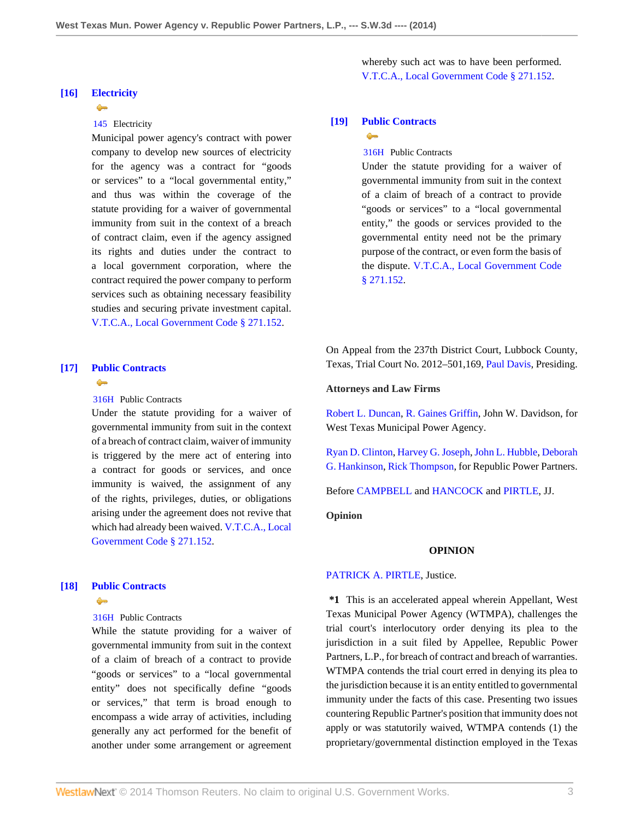## <span id="page-2-0"></span>**[\[16\]](#page-6-1) [Electricity](http://www.westlaw.com/Browse/Home/KeyNumber/145/View.html?docGuid=I36bb01d7902211e3a659df62eba144e8&originationContext=document&vr=3.0&rs=cblt1.0&transitionType=DocumentItem&contextData=(sc.Search))**

 $\rightarrow$ 

# [145](http://www.westlaw.com/Browse/Home/KeyNumber/145/View.html?docGuid=I36bb01d7902211e3a659df62eba144e8&originationContext=document&vr=3.0&rs=cblt1.0&transitionType=DocumentItem&contextData=(sc.Search)) Electricity

Municipal power agency's contract with power company to develop new sources of electricity for the agency was a contract for "goods or services" to a "local governmental entity," and thus was within the coverage of the statute providing for a waiver of governmental immunity from suit in the context of a breach of contract claim, even if the agency assigned its rights and duties under the contract to a local government corporation, where the contract required the power company to perform services such as obtaining necessary feasibility studies and securing private investment capital. [V.T.C.A., Local Government Code § 271.152](http://www.westlaw.com/Link/Document/FullText?findType=L&pubNum=1000179&cite=TXLGS271.152&originatingDoc=I36bb01d7902211e3a659df62eba144e8&refType=LQ&originationContext=document&vr=3.0&rs=cblt1.0&transitionType=DocumentItem&contextData=(sc.Search)).

## <span id="page-2-1"></span>**[\[17\]](#page-6-2) [Public Contracts](http://www.westlaw.com/Browse/Home/KeyNumber/316H/View.html?docGuid=I36bb01d7902211e3a659df62eba144e8&originationContext=document&vr=3.0&rs=cblt1.0&transitionType=DocumentItem&contextData=(sc.Search))**  $\rightarrow$

[316H](http://www.westlaw.com/Browse/Home/KeyNumber/316H/View.html?docGuid=I36bb01d7902211e3a659df62eba144e8&originationContext=document&vr=3.0&rs=cblt1.0&transitionType=DocumentItem&contextData=(sc.Search)) Public Contracts

Under the statute providing for a waiver of governmental immunity from suit in the context of a breach of contract claim, waiver of immunity is triggered by the mere act of entering into a contract for goods or services, and once immunity is waived, the assignment of any of the rights, privileges, duties, or obligations arising under the agreement does not revive that which had already been waived. [V.T.C.A., Local](http://www.westlaw.com/Link/Document/FullText?findType=L&pubNum=1000179&cite=TXLGS271.152&originatingDoc=I36bb01d7902211e3a659df62eba144e8&refType=LQ&originationContext=document&vr=3.0&rs=cblt1.0&transitionType=DocumentItem&contextData=(sc.Search)) [Government Code § 271.152.](http://www.westlaw.com/Link/Document/FullText?findType=L&pubNum=1000179&cite=TXLGS271.152&originatingDoc=I36bb01d7902211e3a659df62eba144e8&refType=LQ&originationContext=document&vr=3.0&rs=cblt1.0&transitionType=DocumentItem&contextData=(sc.Search))

# <span id="page-2-2"></span>**[\[18\]](#page-7-0) [Public Contracts](http://www.westlaw.com/Browse/Home/KeyNumber/316H/View.html?docGuid=I36bb01d7902211e3a659df62eba144e8&originationContext=document&vr=3.0&rs=cblt1.0&transitionType=DocumentItem&contextData=(sc.Search))**  $\triangle$

[316H](http://www.westlaw.com/Browse/Home/KeyNumber/316H/View.html?docGuid=I36bb01d7902211e3a659df62eba144e8&originationContext=document&vr=3.0&rs=cblt1.0&transitionType=DocumentItem&contextData=(sc.Search)) Public Contracts

While the statute providing for a waiver of governmental immunity from suit in the context of a claim of breach of a contract to provide "goods or services" to a "local governmental entity" does not specifically define "goods or services," that term is broad enough to encompass a wide array of activities, including generally any act performed for the benefit of another under some arrangement or agreement

whereby such act was to have been performed. [V.T.C.A., Local Government Code § 271.152](http://www.westlaw.com/Link/Document/FullText?findType=L&pubNum=1000179&cite=TXLGS271.152&originatingDoc=I36bb01d7902211e3a659df62eba144e8&refType=LQ&originationContext=document&vr=3.0&rs=cblt1.0&transitionType=DocumentItem&contextData=(sc.Search)).

# <span id="page-2-3"></span>**[\[19\]](#page-7-1) [Public Contracts](http://www.westlaw.com/Browse/Home/KeyNumber/316H/View.html?docGuid=I36bb01d7902211e3a659df62eba144e8&originationContext=document&vr=3.0&rs=cblt1.0&transitionType=DocumentItem&contextData=(sc.Search))**

#### $\rightarrow$

[316H](http://www.westlaw.com/Browse/Home/KeyNumber/316H/View.html?docGuid=I36bb01d7902211e3a659df62eba144e8&originationContext=document&vr=3.0&rs=cblt1.0&transitionType=DocumentItem&contextData=(sc.Search)) Public Contracts

Under the statute providing for a waiver of governmental immunity from suit in the context of a claim of breach of a contract to provide "goods or services" to a "local governmental entity," the goods or services provided to the governmental entity need not be the primary purpose of the contract, or even form the basis of the dispute. [V.T.C.A., Local Government Code](http://www.westlaw.com/Link/Document/FullText?findType=L&pubNum=1000179&cite=TXLGS271.152&originatingDoc=I36bb01d7902211e3a659df62eba144e8&refType=LQ&originationContext=document&vr=3.0&rs=cblt1.0&transitionType=DocumentItem&contextData=(sc.Search)) [§ 271.152.](http://www.westlaw.com/Link/Document/FullText?findType=L&pubNum=1000179&cite=TXLGS271.152&originatingDoc=I36bb01d7902211e3a659df62eba144e8&refType=LQ&originationContext=document&vr=3.0&rs=cblt1.0&transitionType=DocumentItem&contextData=(sc.Search))

On Appeal from the 237th District Court, Lubbock County, Texas, Trial Court No. 2012–501,169, [Paul Davis,](http://www.westlaw.com/Link/Document/FullText?findType=h&pubNum=176284&cite=0192973601&originatingDoc=I36bb01d7902211e3a659df62eba144e8&refType=RQ&originationContext=document&vr=3.0&rs=cblt1.0&transitionType=DocumentItem&contextData=(sc.Search)) Presiding.

### **Attorneys and Law Firms**

[Robert L. Duncan](http://www.westlaw.com/Link/Document/FullText?findType=h&pubNum=176284&cite=0198700101&originatingDoc=I36bb01d7902211e3a659df62eba144e8&refType=RQ&originationContext=document&vr=3.0&rs=cblt1.0&transitionType=DocumentItem&contextData=(sc.Search)), [R. Gaines Griffin,](http://www.westlaw.com/Link/Document/FullText?findType=h&pubNum=176284&cite=0128522401&originatingDoc=I36bb01d7902211e3a659df62eba144e8&refType=RQ&originationContext=document&vr=3.0&rs=cblt1.0&transitionType=DocumentItem&contextData=(sc.Search)) John W. Davidson, for West Texas Municipal Power Agency.

[Ryan D. Clinton,](http://www.westlaw.com/Link/Document/FullText?findType=h&pubNum=176284&cite=0337945601&originatingDoc=I36bb01d7902211e3a659df62eba144e8&refType=RQ&originationContext=document&vr=3.0&rs=cblt1.0&transitionType=DocumentItem&contextData=(sc.Search)) [Harvey G. Joseph](http://www.westlaw.com/Link/Document/FullText?findType=h&pubNum=176284&cite=0211972701&originatingDoc=I36bb01d7902211e3a659df62eba144e8&refType=RQ&originationContext=document&vr=3.0&rs=cblt1.0&transitionType=DocumentItem&contextData=(sc.Search)), [John L. Hubble](http://www.westlaw.com/Link/Document/FullText?findType=h&pubNum=176284&cite=0278213301&originatingDoc=I36bb01d7902211e3a659df62eba144e8&refType=RQ&originationContext=document&vr=3.0&rs=cblt1.0&transitionType=DocumentItem&contextData=(sc.Search)), [Deborah](http://www.westlaw.com/Link/Document/FullText?findType=h&pubNum=176284&cite=0286476401&originatingDoc=I36bb01d7902211e3a659df62eba144e8&refType=RQ&originationContext=document&vr=3.0&rs=cblt1.0&transitionType=DocumentItem&contextData=(sc.Search)) [G. Hankinson](http://www.westlaw.com/Link/Document/FullText?findType=h&pubNum=176284&cite=0286476401&originatingDoc=I36bb01d7902211e3a659df62eba144e8&refType=RQ&originationContext=document&vr=3.0&rs=cblt1.0&transitionType=DocumentItem&contextData=(sc.Search)), [Rick Thompson,](http://www.westlaw.com/Link/Document/FullText?findType=h&pubNum=176284&cite=0185627801&originatingDoc=I36bb01d7902211e3a659df62eba144e8&refType=RQ&originationContext=document&vr=3.0&rs=cblt1.0&transitionType=DocumentItem&contextData=(sc.Search)) for Republic Power Partners.

Before [CAMPBELL](http://www.westlaw.com/Link/Document/FullText?findType=h&pubNum=176284&cite=0168906801&originatingDoc=I36bb01d7902211e3a659df62eba144e8&refType=RQ&originationContext=document&vr=3.0&rs=cblt1.0&transitionType=DocumentItem&contextData=(sc.Search)) and [HANCOCK](http://www.westlaw.com/Link/Document/FullText?findType=h&pubNum=176284&cite=0168707201&originatingDoc=I36bb01d7902211e3a659df62eba144e8&refType=RQ&originationContext=document&vr=3.0&rs=cblt1.0&transitionType=DocumentItem&contextData=(sc.Search)) and [PIRTLE](http://www.westlaw.com/Link/Document/FullText?findType=h&pubNum=176284&cite=0232507401&originatingDoc=I36bb01d7902211e3a659df62eba144e8&refType=RQ&originationContext=document&vr=3.0&rs=cblt1.0&transitionType=DocumentItem&contextData=(sc.Search)), JJ.

**Opinion**

#### **OPINION**

## [PATRICK A. PIRTLE](http://www.westlaw.com/Link/Document/FullText?findType=h&pubNum=176284&cite=0232507401&originatingDoc=I36bb01d7902211e3a659df62eba144e8&refType=RQ&originationContext=document&vr=3.0&rs=cblt1.0&transitionType=DocumentItem&contextData=(sc.Search)), Justice.

**\*1** This is an accelerated appeal wherein Appellant, West Texas Municipal Power Agency (WTMPA), challenges the trial court's interlocutory order denying its plea to the jurisdiction in a suit filed by Appellee, Republic Power Partners, L.P., for breach of contract and breach of warranties. WTMPA contends the trial court erred in denying its plea to the jurisdiction because it is an entity entitled to governmental immunity under the facts of this case. Presenting two issues countering Republic Partner's position that immunity does not apply or was statutorily waived, WTMPA contends (1) the proprietary/governmental distinction employed in the Texas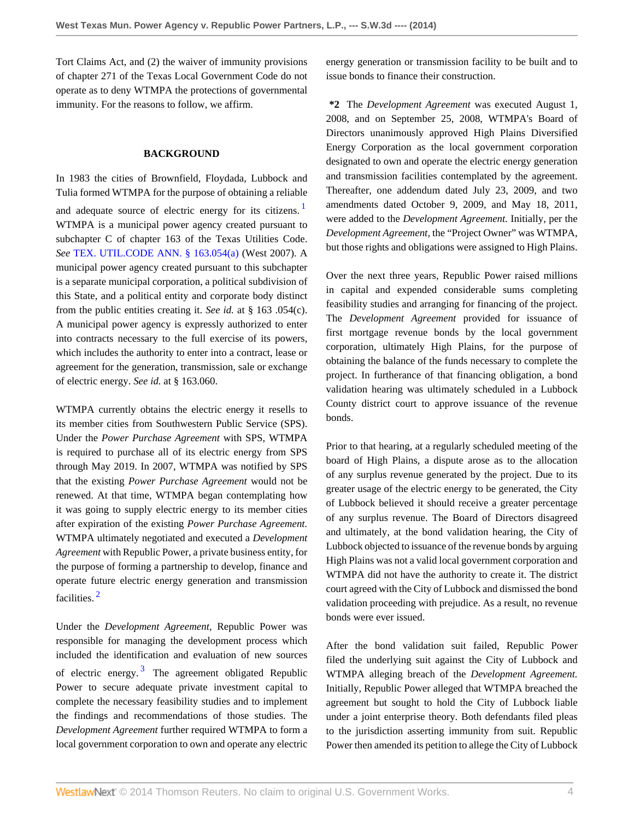Tort Claims Act, and (2) the waiver of immunity provisions of chapter 271 of the Texas Local Government Code do not operate as to deny WTMPA the protections of governmental immunity. For the reasons to follow, we affirm.

# **BACKGROUND**

In 1983 the cities of Brownfield, Floydada, Lubbock and Tulia formed WTMPA for the purpose of obtaining a reliable and adequate source of electric energy for its citizens.<sup>[1](#page-7-2)</sup> WTMPA is a municipal power agency created pursuant to subchapter C of chapter 163 of the Texas Utilities Code. *See* [TEX. UTIL.CODE ANN. § 163.054\(a\)](http://www.westlaw.com/Link/Document/FullText?findType=L&pubNum=1015461&cite=TXUTS163.054&originatingDoc=I36bb01d7902211e3a659df62eba144e8&refType=LQ&originationContext=document&vr=3.0&rs=cblt1.0&transitionType=DocumentItem&contextData=(sc.Search)) (West 2007). A municipal power agency created pursuant to this subchapter is a separate municipal corporation, a political subdivision of this State, and a political entity and corporate body distinct from the public entities creating it. *See id.* at § 163 .054(c). A municipal power agency is expressly authorized to enter into contracts necessary to the full exercise of its powers, which includes the authority to enter into a contract, lease or agreement for the generation, transmission, sale or exchange of electric energy. *See id.* at § 163.060.

WTMPA currently obtains the electric energy it resells to its member cities from Southwestern Public Service (SPS). Under the *Power Purchase Agreement* with SPS, WTMPA is required to purchase all of its electric energy from SPS through May 2019. In 2007, WTMPA was notified by SPS that the existing *Power Purchase Agreement* would not be renewed. At that time, WTMPA began contemplating how it was going to supply electric energy to its member cities after expiration of the existing *Power Purchase Agreement.* WTMPA ultimately negotiated and executed a *Development Agreement* with Republic Power, a private business entity, for the purpose of forming a partnership to develop, finance and operate future electric energy generation and transmission facilities. [2](#page-7-3)

<span id="page-3-2"></span><span id="page-3-1"></span>Under the *Development Agreement,* Republic Power was responsible for managing the development process which included the identification and evaluation of new sources of electric energy.<sup>[3](#page-7-4)</sup> The agreement obligated Republic Power to secure adequate private investment capital to complete the necessary feasibility studies and to implement the findings and recommendations of those studies. The *Development Agreement* further required WTMPA to form a local government corporation to own and operate any electric energy generation or transmission facility to be built and to issue bonds to finance their construction.

**\*2** The *Development Agreement* was executed August 1, 2008, and on September 25, 2008, WTMPA's Board of Directors unanimously approved High Plains Diversified Energy Corporation as the local government corporation designated to own and operate the electric energy generation and transmission facilities contemplated by the agreement. Thereafter, one addendum dated July 23, 2009, and two amendments dated October 9, 2009, and May 18, 2011, were added to the *Development Agreement.* Initially, per the *Development Agreement,* the "Project Owner" was WTMPA, but those rights and obligations were assigned to High Plains.

<span id="page-3-0"></span>Over the next three years, Republic Power raised millions in capital and expended considerable sums completing feasibility studies and arranging for financing of the project. The *Development Agreement* provided for issuance of first mortgage revenue bonds by the local government corporation, ultimately High Plains, for the purpose of obtaining the balance of the funds necessary to complete the project. In furtherance of that financing obligation, a bond validation hearing was ultimately scheduled in a Lubbock County district court to approve issuance of the revenue bonds.

Prior to that hearing, at a regularly scheduled meeting of the board of High Plains, a dispute arose as to the allocation of any surplus revenue generated by the project. Due to its greater usage of the electric energy to be generated, the City of Lubbock believed it should receive a greater percentage of any surplus revenue. The Board of Directors disagreed and ultimately, at the bond validation hearing, the City of Lubbock objected to issuance of the revenue bonds by arguing High Plains was not a valid local government corporation and WTMPA did not have the authority to create it. The district court agreed with the City of Lubbock and dismissed the bond validation proceeding with prejudice. As a result, no revenue bonds were ever issued.

After the bond validation suit failed, Republic Power filed the underlying suit against the City of Lubbock and WTMPA alleging breach of the *Development Agreement.* Initially, Republic Power alleged that WTMPA breached the agreement but sought to hold the City of Lubbock liable under a joint enterprise theory. Both defendants filed pleas to the jurisdiction asserting immunity from suit. Republic Power then amended its petition to allege the City of Lubbock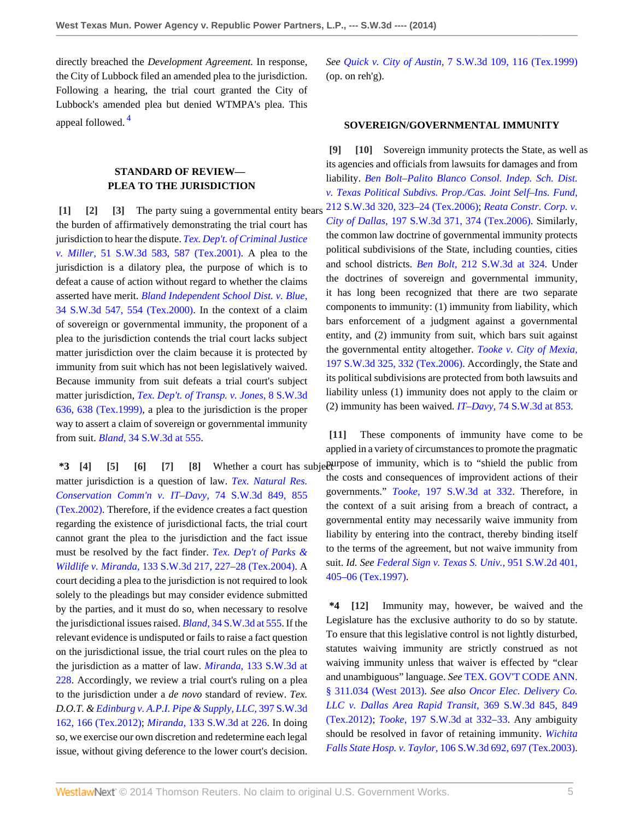directly breached the *Development Agreement.* In response, the City of Lubbock filed an amended plea to the jurisdiction. Following a hearing, the trial court granted the City of Lubbock's amended plea but denied WTMPA's plea. This appeal followed.<sup>[4](#page-8-0)</sup>

# <span id="page-4-12"></span><span id="page-4-2"></span><span id="page-4-1"></span>**STANDARD OF REVIEW— PLEA TO THE JURISDICTION**

<span id="page-4-0"></span>**[\[1\]](#page-0-0) [\[2\]](#page-0-1) [\[3](#page-0-2)]** The party suing a governmental entity bears the burden of affirmatively demonstrating the trial court has jurisdiction to hear the dispute. *[Tex. Dep't. of Criminal Justice](http://www.westlaw.com/Link/Document/FullText?findType=Y&serNum=2001522898&pubNum=4644&originationContext=document&vr=3.0&rs=cblt1.0&transitionType=DocumentItem&contextData=(sc.Search)#co_pp_sp_4644_587) v. Miller,* [51 S.W.3d 583, 587 \(Tex.2001\).](http://www.westlaw.com/Link/Document/FullText?findType=Y&serNum=2001522898&pubNum=4644&originationContext=document&vr=3.0&rs=cblt1.0&transitionType=DocumentItem&contextData=(sc.Search)#co_pp_sp_4644_587) A plea to the jurisdiction is a dilatory plea, the purpose of which is to defeat a cause of action without regard to whether the claims asserted have merit. *[Bland Independent School Dist. v. Blue,](http://www.westlaw.com/Link/Document/FullText?findType=Y&serNum=2000633986&pubNum=4644&originationContext=document&vr=3.0&rs=cblt1.0&transitionType=DocumentItem&contextData=(sc.Search)#co_pp_sp_4644_554)* [34 S.W.3d 547, 554 \(Tex.2000\).](http://www.westlaw.com/Link/Document/FullText?findType=Y&serNum=2000633986&pubNum=4644&originationContext=document&vr=3.0&rs=cblt1.0&transitionType=DocumentItem&contextData=(sc.Search)#co_pp_sp_4644_554) In the context of a claim of sovereign or governmental immunity, the proponent of a plea to the jurisdiction contends the trial court lacks subject matter jurisdiction over the claim because it is protected by immunity from suit which has not been legislatively waived. Because immunity from suit defeats a trial court's subject matter jurisdiction, *[Tex. Dep't. of Transp. v. Jones,](http://www.westlaw.com/Link/Document/FullText?findType=Y&serNum=1999265124&pubNum=4644&originationContext=document&vr=3.0&rs=cblt1.0&transitionType=DocumentItem&contextData=(sc.Search)#co_pp_sp_4644_638)* 8 S.W.3d [636, 638 \(Tex.1999\),](http://www.westlaw.com/Link/Document/FullText?findType=Y&serNum=1999265124&pubNum=4644&originationContext=document&vr=3.0&rs=cblt1.0&transitionType=DocumentItem&contextData=(sc.Search)#co_pp_sp_4644_638) a plea to the jurisdiction is the proper way to assert a claim of sovereign or governmental immunity from suit. *Bland,* [34 S.W.3d at 555](http://www.westlaw.com/Link/Document/FullText?findType=Y&serNum=2000633986&pubNum=4644&originationContext=document&vr=3.0&rs=cblt1.0&transitionType=DocumentItem&contextData=(sc.Search)#co_pp_sp_4644_555).

<span id="page-4-4"></span><span id="page-4-3"></span>matter jurisdiction is a question of law. *[Tex. Natural Res.](http://www.westlaw.com/Link/Document/FullText?findType=Y&serNum=2002237903&pubNum=4644&originationContext=document&vr=3.0&rs=cblt1.0&transitionType=DocumentItem&contextData=(sc.Search)#co_pp_sp_4644_855) [Conservation Comm'n v. IT–Davy,](http://www.westlaw.com/Link/Document/FullText?findType=Y&serNum=2002237903&pubNum=4644&originationContext=document&vr=3.0&rs=cblt1.0&transitionType=DocumentItem&contextData=(sc.Search)#co_pp_sp_4644_855)* 74 S.W.3d 849, 855 [\(Tex.2002\).](http://www.westlaw.com/Link/Document/FullText?findType=Y&serNum=2002237903&pubNum=4644&originationContext=document&vr=3.0&rs=cblt1.0&transitionType=DocumentItem&contextData=(sc.Search)#co_pp_sp_4644_855) Therefore, if the evidence creates a fact question regarding the existence of jurisdictional facts, the trial court cannot grant the plea to the jurisdiction and the fact issue must be resolved by the fact finder. *[Tex. Dep't of Parks &](http://www.westlaw.com/Link/Document/FullText?findType=Y&serNum=2004293997&pubNum=4644&originationContext=document&vr=3.0&rs=cblt1.0&transitionType=DocumentItem&contextData=(sc.Search)#co_pp_sp_4644_227) Wildlife v. Miranda,* [133 S.W.3d 217, 227–28 \(Tex.2004\).](http://www.westlaw.com/Link/Document/FullText?findType=Y&serNum=2004293997&pubNum=4644&originationContext=document&vr=3.0&rs=cblt1.0&transitionType=DocumentItem&contextData=(sc.Search)#co_pp_sp_4644_227) A court deciding a plea to the jurisdiction is not required to look solely to the pleadings but may consider evidence submitted by the parties, and it must do so, when necessary to resolve the jurisdictional issues raised. *Bland,* [34 S.W.3d at 555](http://www.westlaw.com/Link/Document/FullText?findType=Y&serNum=2000633986&pubNum=4644&originationContext=document&vr=3.0&rs=cblt1.0&transitionType=DocumentItem&contextData=(sc.Search)#co_pp_sp_4644_555). If the relevant evidence is undisputed or fails to raise a fact question on the jurisdictional issue, the trial court rules on the plea to the jurisdiction as a matter of law. *Miranda,* [133 S.W.3d at](http://www.westlaw.com/Link/Document/FullText?findType=Y&serNum=2004293997&pubNum=4644&originationContext=document&vr=3.0&rs=cblt1.0&transitionType=DocumentItem&contextData=(sc.Search)#co_pp_sp_4644_228) [228](http://www.westlaw.com/Link/Document/FullText?findType=Y&serNum=2004293997&pubNum=4644&originationContext=document&vr=3.0&rs=cblt1.0&transitionType=DocumentItem&contextData=(sc.Search)#co_pp_sp_4644_228). Accordingly, we review a trial court's ruling on a plea to the jurisdiction under a *de novo* standard of review. *Tex. D.O.T. & [Edinburg v. A.P.I. Pipe & Supply, LLC,](http://www.westlaw.com/Link/Document/FullText?findType=Y&serNum=2030308827&pubNum=4644&originationContext=document&vr=3.0&rs=cblt1.0&transitionType=DocumentItem&contextData=(sc.Search)#co_pp_sp_4644_166)* 397 S.W.3d [162, 166 \(Tex.2012\);](http://www.westlaw.com/Link/Document/FullText?findType=Y&serNum=2030308827&pubNum=4644&originationContext=document&vr=3.0&rs=cblt1.0&transitionType=DocumentItem&contextData=(sc.Search)#co_pp_sp_4644_166) *Miranda,* [133 S.W.3d at 226.](http://www.westlaw.com/Link/Document/FullText?findType=Y&serNum=2004293997&pubNum=4644&originationContext=document&vr=3.0&rs=cblt1.0&transitionType=DocumentItem&contextData=(sc.Search)#co_pp_sp_4644_226) In doing so, we exercise our own discretion and redetermine each legal issue, without giving deference to the lower court's decision. *See Quick v. City of Austin,* [7 S.W.3d 109, 116 \(Tex.1999\)](http://www.westlaw.com/Link/Document/FullText?findType=Y&serNum=2000031535&pubNum=4644&originationContext=document&vr=3.0&rs=cblt1.0&transitionType=DocumentItem&contextData=(sc.Search)#co_pp_sp_4644_116) (op. on reh'g).

## <span id="page-4-9"></span><span id="page-4-8"></span>**SOVEREIGN/GOVERNMENTAL IMMUNITY**

**[\[9\]](#page-1-2) [\[10\]](#page-1-3)** Sovereign immunity protects the State, as well as its agencies and officials from lawsuits for damages and from liability. *[Ben Bolt–Palito Blanco Consol. Indep. Sch. Dist.](http://www.westlaw.com/Link/Document/FullText?findType=Y&serNum=2011082299&pubNum=4644&originationContext=document&vr=3.0&rs=cblt1.0&transitionType=DocumentItem&contextData=(sc.Search)#co_pp_sp_4644_323) [v. Texas Political Subdivs. Prop./Cas. Joint Self–Ins. Fund,](http://www.westlaw.com/Link/Document/FullText?findType=Y&serNum=2011082299&pubNum=4644&originationContext=document&vr=3.0&rs=cblt1.0&transitionType=DocumentItem&contextData=(sc.Search)#co_pp_sp_4644_323)* [212 S.W.3d 320, 323–24 \(Tex.2006\)](http://www.westlaw.com/Link/Document/FullText?findType=Y&serNum=2011082299&pubNum=4644&originationContext=document&vr=3.0&rs=cblt1.0&transitionType=DocumentItem&contextData=(sc.Search)#co_pp_sp_4644_323); *[Reata Constr. Corp. v.](http://www.westlaw.com/Link/Document/FullText?findType=Y&serNum=2009471334&pubNum=4644&originationContext=document&vr=3.0&rs=cblt1.0&transitionType=DocumentItem&contextData=(sc.Search)#co_pp_sp_4644_374) City of Dallas,* [197 S.W.3d 371, 374 \(Tex.2006\).](http://www.westlaw.com/Link/Document/FullText?findType=Y&serNum=2009471334&pubNum=4644&originationContext=document&vr=3.0&rs=cblt1.0&transitionType=DocumentItem&contextData=(sc.Search)#co_pp_sp_4644_374) Similarly, the common law doctrine of governmental immunity protects political subdivisions of the State, including counties, cities and school districts. *Ben Bolt,* [212 S.W.3d at 324](http://www.westlaw.com/Link/Document/FullText?findType=Y&serNum=2011082299&pubNum=4644&originationContext=document&vr=3.0&rs=cblt1.0&transitionType=DocumentItem&contextData=(sc.Search)#co_pp_sp_4644_324). Under the doctrines of sovereign and governmental immunity, it has long been recognized that there are two separate components to immunity: (1) immunity from liability, which bars enforcement of a judgment against a governmental entity, and (2) immunity from suit, which bars suit against the governmental entity altogether. *[Tooke v. City of Mexia,](http://www.westlaw.com/Link/Document/FullText?findType=Y&serNum=2009471357&pubNum=4644&originationContext=document&vr=3.0&rs=cblt1.0&transitionType=DocumentItem&contextData=(sc.Search)#co_pp_sp_4644_332)* [197 S.W.3d 325, 332 \(Tex.2006\).](http://www.westlaw.com/Link/Document/FullText?findType=Y&serNum=2009471357&pubNum=4644&originationContext=document&vr=3.0&rs=cblt1.0&transitionType=DocumentItem&contextData=(sc.Search)#co_pp_sp_4644_332) Accordingly, the State and its political subdivisions are protected from both lawsuits and liability unless (1) immunity does not apply to the claim or (2) immunity has been waived. *IT–Davy,* [74 S.W.3d at 853](http://www.westlaw.com/Link/Document/FullText?findType=Y&serNum=2002237903&pubNum=4644&originationContext=document&vr=3.0&rs=cblt1.0&transitionType=DocumentItem&contextData=(sc.Search)#co_pp_sp_4644_853).

<span id="page-4-7"></span><span id="page-4-6"></span><span id="page-4-5"></span>**\*3** [\[4](#page-0-3)] **[\[5\]](#page-0-4)** [\[6\]](#page-0-5) [\[7\]](#page-0-6) [\[8\]](#page-1-1) Whether a court has subjectly pose of immunity, which is to "shield the public from **[\[11\]](#page-1-4)** These components of immunity have come to be applied in a variety of circumstances to promote the pragmatic the costs and consequences of improvident actions of their governments." *Tooke,* [197 S.W.3d at 332.](http://www.westlaw.com/Link/Document/FullText?findType=Y&serNum=2009471357&pubNum=4644&originationContext=document&vr=3.0&rs=cblt1.0&transitionType=DocumentItem&contextData=(sc.Search)#co_pp_sp_4644_332) Therefore, in the context of a suit arising from a breach of contract, a governmental entity may necessarily waive immunity from liability by entering into the contract, thereby binding itself to the terms of the agreement, but not waive immunity from suit. *Id. See [Federal Sign v. Texas S. Univ.,](http://www.westlaw.com/Link/Document/FullText?findType=Y&serNum=1997131018&pubNum=713&originationContext=document&vr=3.0&rs=cblt1.0&transitionType=DocumentItem&contextData=(sc.Search)#co_pp_sp_713_405)* 951 S.W.2d 401, [405–06 \(Tex.1997\)](http://www.westlaw.com/Link/Document/FullText?findType=Y&serNum=1997131018&pubNum=713&originationContext=document&vr=3.0&rs=cblt1.0&transitionType=DocumentItem&contextData=(sc.Search)#co_pp_sp_713_405).

> <span id="page-4-11"></span><span id="page-4-10"></span>**\*4 [\[12\]](#page-1-5)** Immunity may, however, be waived and the Legislature has the exclusive authority to do so by statute. To ensure that this legislative control is not lightly disturbed, statutes waiving immunity are strictly construed as not waiving immunity unless that waiver is effected by "clear and unambiguous" language. *See* [TEX. GOV'T CODE ANN.](http://www.westlaw.com/Link/Document/FullText?findType=L&pubNum=1000176&cite=TXGTS311.034&originatingDoc=I36bb01d7902211e3a659df62eba144e8&refType=LQ&originationContext=document&vr=3.0&rs=cblt1.0&transitionType=DocumentItem&contextData=(sc.Search)) [§ 311.034 \(West 2013\).](http://www.westlaw.com/Link/Document/FullText?findType=L&pubNum=1000176&cite=TXGTS311.034&originatingDoc=I36bb01d7902211e3a659df62eba144e8&refType=LQ&originationContext=document&vr=3.0&rs=cblt1.0&transitionType=DocumentItem&contextData=(sc.Search)) *See also [Oncor Elec. Delivery Co.](http://www.westlaw.com/Link/Document/FullText?findType=Y&serNum=2027960004&pubNum=4644&originationContext=document&vr=3.0&rs=cblt1.0&transitionType=DocumentItem&contextData=(sc.Search)#co_pp_sp_4644_849) [LLC v. Dallas Area Rapid Transit,](http://www.westlaw.com/Link/Document/FullText?findType=Y&serNum=2027960004&pubNum=4644&originationContext=document&vr=3.0&rs=cblt1.0&transitionType=DocumentItem&contextData=(sc.Search)#co_pp_sp_4644_849)* 369 S.W.3d 845, 849 [\(Tex.2012\);](http://www.westlaw.com/Link/Document/FullText?findType=Y&serNum=2027960004&pubNum=4644&originationContext=document&vr=3.0&rs=cblt1.0&transitionType=DocumentItem&contextData=(sc.Search)#co_pp_sp_4644_849) *Tooke,* [197 S.W.3d at 332–33](http://www.westlaw.com/Link/Document/FullText?findType=Y&serNum=2009471357&pubNum=4644&originationContext=document&vr=3.0&rs=cblt1.0&transitionType=DocumentItem&contextData=(sc.Search)#co_pp_sp_4644_332). Any ambiguity should be resolved in favor of retaining immunity. *[Wichita](http://www.westlaw.com/Link/Document/FullText?findType=Y&serNum=2003197838&pubNum=4644&originationContext=document&vr=3.0&rs=cblt1.0&transitionType=DocumentItem&contextData=(sc.Search)#co_pp_sp_4644_697) Falls State Hosp. v. Taylor,* [106 S.W.3d 692, 697 \(Tex.2003\).](http://www.westlaw.com/Link/Document/FullText?findType=Y&serNum=2003197838&pubNum=4644&originationContext=document&vr=3.0&rs=cblt1.0&transitionType=DocumentItem&contextData=(sc.Search)#co_pp_sp_4644_697)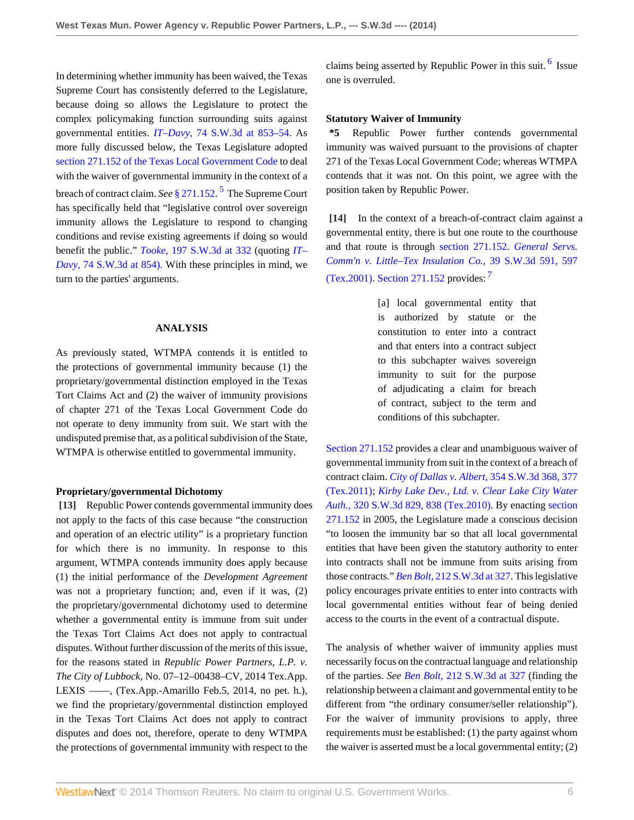In determining whether immunity has been waived, the Texas Supreme Court has consistently deferred to the Legislature, because doing so allows the Legislature to protect the complex policymaking function surrounding suits against governmental entities. *IT–Davy,* [74 S.W.3d at 853–54](http://www.westlaw.com/Link/Document/FullText?findType=Y&serNum=2002237903&pubNum=4644&originationContext=document&vr=3.0&rs=cblt1.0&transitionType=DocumentItem&contextData=(sc.Search)#co_pp_sp_4644_853). As more fully discussed below, the Texas Legislature adopted [section 271.152 of the Texas Local Government Code](http://www.westlaw.com/Link/Document/FullText?findType=L&pubNum=1000179&cite=TXLGS271.152&originatingDoc=I36bb01d7902211e3a659df62eba144e8&refType=LQ&originationContext=document&vr=3.0&rs=cblt1.0&transitionType=DocumentItem&contextData=(sc.Search)) to deal with the waiver of governmental immunity in the context of a breach of contract claim. *See* [§ 271.152.](http://www.westlaw.com/Link/Document/FullText?findType=L&pubNum=1000179&cite=TXLGS271.152&originatingDoc=I36bb01d7902211e3a659df62eba144e8&refType=LQ&originationContext=document&vr=3.0&rs=cblt1.0&transitionType=DocumentItem&contextData=(sc.Search)) [5](#page-8-1) The Supreme Court has specifically held that "legislative control over sovereign immunity allows the Legislature to respond to changing conditions and revise existing agreements if doing so would benefit the public." *Tooke,* [197 S.W.3d at 332](http://www.westlaw.com/Link/Document/FullText?findType=Y&serNum=2009471357&pubNum=4644&originationContext=document&vr=3.0&rs=cblt1.0&transitionType=DocumentItem&contextData=(sc.Search)#co_pp_sp_4644_332) (quoting *[IT–](http://www.westlaw.com/Link/Document/FullText?findType=Y&serNum=2002237903&pubNum=4644&originationContext=document&vr=3.0&rs=cblt1.0&transitionType=DocumentItem&contextData=(sc.Search)#co_pp_sp_4644_854) Davy,* [74 S.W.3d at 854\).](http://www.westlaw.com/Link/Document/FullText?findType=Y&serNum=2002237903&pubNum=4644&originationContext=document&vr=3.0&rs=cblt1.0&transitionType=DocumentItem&contextData=(sc.Search)#co_pp_sp_4644_854) With these principles in mind, we turn to the parties' arguments.

#### **ANALYSIS**

As previously stated, WTMPA contends it is entitled to the protections of governmental immunity because (1) the proprietary/governmental distinction employed in the Texas Tort Claims Act and (2) the waiver of immunity provisions of chapter 271 of the Texas Local Government Code do not operate to deny immunity from suit. We start with the undisputed premise that, as a political subdivision of the State, WTMPA is otherwise entitled to governmental immunity.

#### **Proprietary/governmental Dichotomy**

<span id="page-5-0"></span>**[\[13\]](#page-1-0)** Republic Power contends governmental immunity does not apply to the facts of this case because "the construction and operation of an electric utility" is a proprietary function for which there is no immunity. In response to this argument, WTMPA contends immunity does apply because (1) the initial performance of the *Development Agreement* was not a proprietary function; and, even if it was, (2) the proprietary/governmental dichotomy used to determine whether a governmental entity is immune from suit under the Texas Tort Claims Act does not apply to contractual disputes. Without further discussion of the merits of this issue, for the reasons stated in *Republic Power Partners, L.P. v. The City of Lubbock,* No. 07–12–00438–CV, 2014 Tex.App. LEXIS ––––, (Tex.App.-Amarillo Feb.5, 2014, no pet. h.), we find the proprietary/governmental distinction employed in the Texas Tort Claims Act does not apply to contract disputes and does not, therefore, operate to deny WTMPA the protections of governmental immunity with respect to the

<span id="page-5-3"></span>claims being asserted by Republic Power in this suit.<sup>[6](#page-8-2)</sup> Issue one is overruled.

# **Statutory Waiver of Immunity**

**\*5** Republic Power further contends governmental immunity was waived pursuant to the provisions of chapter 271 of the Texas Local Government Code; whereas WTMPA contends that it was not. On this point, we agree with the position taken by Republic Power.

<span id="page-5-2"></span><span id="page-5-1"></span>**[\[14\]](#page-1-6)** In the context of a breach-of-contract claim against a governmental entity, there is but one route to the courthouse and that route is through [section 271.152.](http://www.westlaw.com/Link/Document/FullText?findType=L&pubNum=1000179&cite=TXLGS271.152&originatingDoc=I36bb01d7902211e3a659df62eba144e8&refType=LQ&originationContext=document&vr=3.0&rs=cblt1.0&transitionType=DocumentItem&contextData=(sc.Search)) *[General Servs.](http://www.westlaw.com/Link/Document/FullText?findType=Y&serNum=2001112179&pubNum=4644&originationContext=document&vr=3.0&rs=cblt1.0&transitionType=DocumentItem&contextData=(sc.Search)#co_pp_sp_4644_597) [Comm'n v. Little–Tex Insulation Co.,](http://www.westlaw.com/Link/Document/FullText?findType=Y&serNum=2001112179&pubNum=4644&originationContext=document&vr=3.0&rs=cblt1.0&transitionType=DocumentItem&contextData=(sc.Search)#co_pp_sp_4644_597)* 39 S.W.3d 591, 597 [\(Tex.2001\).](http://www.westlaw.com/Link/Document/FullText?findType=Y&serNum=2001112179&pubNum=4644&originationContext=document&vr=3.0&rs=cblt1.0&transitionType=DocumentItem&contextData=(sc.Search)#co_pp_sp_4644_597) [Section 271.152](http://www.westlaw.com/Link/Document/FullText?findType=L&pubNum=1000179&cite=TXLGS271.152&originatingDoc=I36bb01d7902211e3a659df62eba144e8&refType=LQ&originationContext=document&vr=3.0&rs=cblt1.0&transitionType=DocumentItem&contextData=(sc.Search)) provides: [7](#page-8-3)

> <span id="page-5-4"></span>[a] local governmental entity that is authorized by statute or the constitution to enter into a contract and that enters into a contract subject to this subchapter waives sovereign immunity to suit for the purpose of adjudicating a claim for breach of contract, subject to the term and conditions of this subchapter.

[Section 271.152](http://www.westlaw.com/Link/Document/FullText?findType=L&pubNum=1000179&cite=TXLGS271.152&originatingDoc=I36bb01d7902211e3a659df62eba144e8&refType=LQ&originationContext=document&vr=3.0&rs=cblt1.0&transitionType=DocumentItem&contextData=(sc.Search)) provides a clear and unambiguous waiver of governmental immunity from suit in the context of a breach of contract claim. *[City of Dallas v. Albert,](http://www.westlaw.com/Link/Document/FullText?findType=Y&serNum=2025963404&pubNum=4644&originationContext=document&vr=3.0&rs=cblt1.0&transitionType=DocumentItem&contextData=(sc.Search)#co_pp_sp_4644_377)* 354 S.W.3d 368, 377 [\(Tex.2011\);](http://www.westlaw.com/Link/Document/FullText?findType=Y&serNum=2025963404&pubNum=4644&originationContext=document&vr=3.0&rs=cblt1.0&transitionType=DocumentItem&contextData=(sc.Search)#co_pp_sp_4644_377) *[Kirby Lake Dev., Ltd. v. Clear Lake City Water](http://www.westlaw.com/Link/Document/FullText?findType=Y&serNum=2022864928&pubNum=4644&originationContext=document&vr=3.0&rs=cblt1.0&transitionType=DocumentItem&contextData=(sc.Search)#co_pp_sp_4644_838) Auth.,* [320 S.W.3d 829, 838 \(Tex.2010\).](http://www.westlaw.com/Link/Document/FullText?findType=Y&serNum=2022864928&pubNum=4644&originationContext=document&vr=3.0&rs=cblt1.0&transitionType=DocumentItem&contextData=(sc.Search)#co_pp_sp_4644_838) By enacting [section](http://www.westlaw.com/Link/Document/FullText?findType=L&pubNum=1000179&cite=TXLGS271.152&originatingDoc=I36bb01d7902211e3a659df62eba144e8&refType=LQ&originationContext=document&vr=3.0&rs=cblt1.0&transitionType=DocumentItem&contextData=(sc.Search)) [271.152](http://www.westlaw.com/Link/Document/FullText?findType=L&pubNum=1000179&cite=TXLGS271.152&originatingDoc=I36bb01d7902211e3a659df62eba144e8&refType=LQ&originationContext=document&vr=3.0&rs=cblt1.0&transitionType=DocumentItem&contextData=(sc.Search)) in 2005, the Legislature made a conscious decision "to loosen the immunity bar so that all local governmental entities that have been given the statutory authority to enter into contracts shall not be immune from suits arising from those contracts." *Ben Bolt,* [212 S.W.3d at 327](http://www.westlaw.com/Link/Document/FullText?findType=Y&serNum=2011082299&pubNum=4644&originationContext=document&vr=3.0&rs=cblt1.0&transitionType=DocumentItem&contextData=(sc.Search)#co_pp_sp_4644_327). This legislative policy encourages private entities to enter into contracts with local governmental entities without fear of being denied access to the courts in the event of a contractual dispute.

The analysis of whether waiver of immunity applies must necessarily focus on the contractual language and relationship of the parties. *See Ben Bolt,* [212 S.W.3d at 327](http://www.westlaw.com/Link/Document/FullText?findType=Y&serNum=2011082299&pubNum=4644&originationContext=document&vr=3.0&rs=cblt1.0&transitionType=DocumentItem&contextData=(sc.Search)#co_pp_sp_4644_327) (finding the relationship between a claimant and governmental entity to be different from "the ordinary consumer/seller relationship"). For the waiver of immunity provisions to apply, three requirements must be established: (1) the party against whom the waiver is asserted must be a local governmental entity; (2)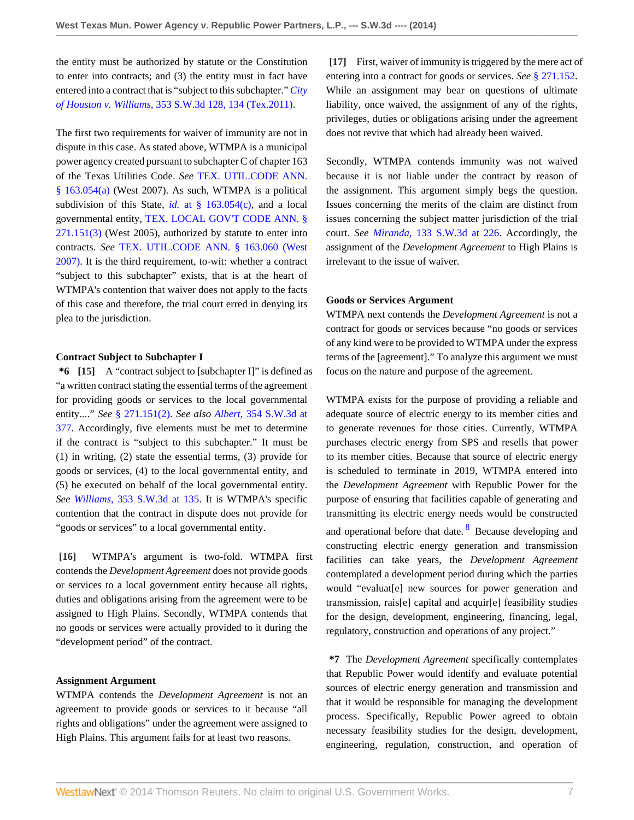the entity must be authorized by statute or the Constitution to enter into contracts; and (3) the entity must in fact have entered into a contract that is "subject to this subchapter." *[City](http://www.westlaw.com/Link/Document/FullText?findType=Y&serNum=2024815662&pubNum=4644&originationContext=document&vr=3.0&rs=cblt1.0&transitionType=DocumentItem&contextData=(sc.Search)#co_pp_sp_4644_134) of Houston v. Williams,* [353 S.W.3d 128, 134 \(Tex.2011\).](http://www.westlaw.com/Link/Document/FullText?findType=Y&serNum=2024815662&pubNum=4644&originationContext=document&vr=3.0&rs=cblt1.0&transitionType=DocumentItem&contextData=(sc.Search)#co_pp_sp_4644_134)

The first two requirements for waiver of immunity are not in dispute in this case. As stated above, WTMPA is a municipal power agency created pursuant to subchapter C of chapter 163 of the Texas Utilities Code. *See* [TEX. UTIL.CODE ANN.](http://www.westlaw.com/Link/Document/FullText?findType=L&pubNum=1015461&cite=TXUTS163.054&originatingDoc=I36bb01d7902211e3a659df62eba144e8&refType=LQ&originationContext=document&vr=3.0&rs=cblt1.0&transitionType=DocumentItem&contextData=(sc.Search))  $§ 163.054(a)$  (West 2007). As such, WTMPA is a political subdivision of this State, *id.* [at § 163.054\(c\),](http://www.westlaw.com/Link/Document/FullText?findType=L&pubNum=1015461&cite=TXUTS163.054&originatingDoc=I36bb01d7902211e3a659df62eba144e8&refType=LQ&originationContext=document&vr=3.0&rs=cblt1.0&transitionType=DocumentItem&contextData=(sc.Search)) and a local governmental entity, [TEX. LOCAL GOV'T CODE ANN. §](http://www.westlaw.com/Link/Document/FullText?findType=L&pubNum=1000179&cite=TXLGS271.151&originatingDoc=I36bb01d7902211e3a659df62eba144e8&refType=LQ&originationContext=document&vr=3.0&rs=cblt1.0&transitionType=DocumentItem&contextData=(sc.Search)) [271.151\(3\)](http://www.westlaw.com/Link/Document/FullText?findType=L&pubNum=1000179&cite=TXLGS271.151&originatingDoc=I36bb01d7902211e3a659df62eba144e8&refType=LQ&originationContext=document&vr=3.0&rs=cblt1.0&transitionType=DocumentItem&contextData=(sc.Search)) (West 2005), authorized by statute to enter into contracts. *See* [TEX. UTIL.CODE ANN. § 163.060 \(West](http://www.westlaw.com/Link/Document/FullText?findType=L&pubNum=1015461&cite=TXUTS163.060&originatingDoc=I36bb01d7902211e3a659df62eba144e8&refType=LQ&originationContext=document&vr=3.0&rs=cblt1.0&transitionType=DocumentItem&contextData=(sc.Search)) [2007\)](http://www.westlaw.com/Link/Document/FullText?findType=L&pubNum=1015461&cite=TXUTS163.060&originatingDoc=I36bb01d7902211e3a659df62eba144e8&refType=LQ&originationContext=document&vr=3.0&rs=cblt1.0&transitionType=DocumentItem&contextData=(sc.Search)). It is the third requirement, to-wit: whether a contract "subject to this subchapter" exists, that is at the heart of WTMPA's contention that waiver does not apply to the facts of this case and therefore, the trial court erred in denying its plea to the jurisdiction.

### **Contract Subject to Subchapter I**

<span id="page-6-0"></span>**\*6 [\[15\]](#page-1-7)** A "contract subject to [subchapter I]" is defined as "a written contract stating the essential terms of the agreement for providing goods or services to the local governmental entity...." *See* [§ 271.151\(2\)](http://www.westlaw.com/Link/Document/FullText?findType=L&pubNum=1000179&cite=TXLGS271.151&originatingDoc=I36bb01d7902211e3a659df62eba144e8&refType=LQ&originationContext=document&vr=3.0&rs=cblt1.0&transitionType=DocumentItem&contextData=(sc.Search)). *See also Albert,* [354 S.W.3d at](http://www.westlaw.com/Link/Document/FullText?findType=Y&serNum=2025963404&pubNum=4644&originationContext=document&vr=3.0&rs=cblt1.0&transitionType=DocumentItem&contextData=(sc.Search)#co_pp_sp_4644_377) [377](http://www.westlaw.com/Link/Document/FullText?findType=Y&serNum=2025963404&pubNum=4644&originationContext=document&vr=3.0&rs=cblt1.0&transitionType=DocumentItem&contextData=(sc.Search)#co_pp_sp_4644_377). Accordingly, five elements must be met to determine if the contract is "subject to this subchapter." It must be (1) in writing, (2) state the essential terms, (3) provide for goods or services, (4) to the local governmental entity, and (5) be executed on behalf of the local governmental entity. *See Williams,* [353 S.W.3d at 135](http://www.westlaw.com/Link/Document/FullText?findType=Y&serNum=2024815662&pubNum=4644&originationContext=document&vr=3.0&rs=cblt1.0&transitionType=DocumentItem&contextData=(sc.Search)#co_pp_sp_4644_135). It is WTMPA's specific contention that the contract in dispute does not provide for "goods or services" to a local governmental entity.

<span id="page-6-1"></span>**[\[16\]](#page-2-0)** WTMPA's argument is two-fold. WTMPA first contends the *Development Agreement* does not provide goods or services to a local government entity because all rights, duties and obligations arising from the agreement were to be assigned to High Plains. Secondly, WTMPA contends that no goods or services were actually provided to it during the "development period" of the contract.

## **Assignment Argument**

WTMPA contends the *Development Agreement* is not an agreement to provide goods or services to it because "all rights and obligations" under the agreement were assigned to High Plains. This argument fails for at least two reasons.

<span id="page-6-2"></span>**[\[17\]](#page-2-1)** First, waiver of immunity is triggered by the mere act of entering into a contract for goods or services. *See* [§ 271.152.](http://www.westlaw.com/Link/Document/FullText?findType=L&pubNum=1000179&cite=TXLGS271.152&originatingDoc=I36bb01d7902211e3a659df62eba144e8&refType=LQ&originationContext=document&vr=3.0&rs=cblt1.0&transitionType=DocumentItem&contextData=(sc.Search)) While an assignment may bear on questions of ultimate liability, once waived, the assignment of any of the rights, privileges, duties or obligations arising under the agreement does not revive that which had already been waived.

Secondly, WTMPA contends immunity was not waived because it is not liable under the contract by reason of the assignment. This argument simply begs the question. Issues concerning the merits of the claim are distinct from issues concerning the subject matter jurisdiction of the trial court. *See Miranda,* [133 S.W.3d at 226](http://www.westlaw.com/Link/Document/FullText?findType=Y&serNum=2004293997&pubNum=4644&originationContext=document&vr=3.0&rs=cblt1.0&transitionType=DocumentItem&contextData=(sc.Search)#co_pp_sp_4644_226). Accordingly, the assignment of the *Development Agreement* to High Plains is irrelevant to the issue of waiver.

### **Goods or Services Argument**

WTMPA next contends the *Development Agreement* is not a contract for goods or services because "no goods or services of any kind were to be provided to WTMPA under the express terms of the [agreement]." To analyze this argument we must focus on the nature and purpose of the agreement.

<span id="page-6-3"></span>WTMPA exists for the purpose of providing a reliable and adequate source of electric energy to its member cities and to generate revenues for those cities. Currently, WTMPA purchases electric energy from SPS and resells that power to its member cities. Because that source of electric energy is scheduled to terminate in 2019, WTMPA entered into the *Development Agreement* with Republic Power for the purpose of ensuring that facilities capable of generating and transmitting its electric energy needs would be constructed and operational before that date. <sup>[8](#page-8-4)</sup> Because developing and constructing electric energy generation and transmission facilities can take years, the *Development Agreement* contemplated a development period during which the parties would "evaluat[e] new sources for power generation and transmission, rais[e] capital and acquir[e] feasibility studies for the design, development, engineering, financing, legal, regulatory, construction and operations of any project."

**\*7** The *Development Agreement* specifically contemplates that Republic Power would identify and evaluate potential sources of electric energy generation and transmission and that it would be responsible for managing the development process. Specifically, Republic Power agreed to obtain necessary feasibility studies for the design, development, engineering, regulation, construction, and operation of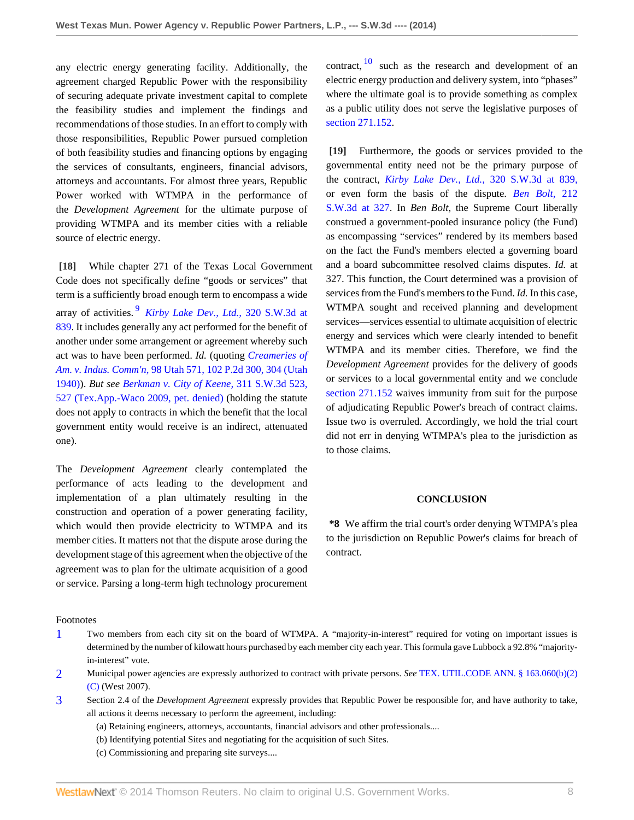any electric energy generating facility. Additionally, the agreement charged Republic Power with the responsibility of securing adequate private investment capital to complete the feasibility studies and implement the findings and recommendations of those studies. In an effort to comply with those responsibilities, Republic Power pursued completion of both feasibility studies and financing options by engaging the services of consultants, engineers, financial advisors, attorneys and accountants. For almost three years, Republic Power worked with WTMPA in the performance of the *Development Agreement* for the ultimate purpose of providing WTMPA and its member cities with a reliable source of electric energy.

<span id="page-7-5"></span><span id="page-7-0"></span>**[\[18\]](#page-2-2)** While chapter 271 of the Texas Local Government Code does not specifically define "goods or services" that term is a sufficiently broad enough term to encompass a wide array of activities. [9](#page-8-5) *[Kirby Lake Dev., Ltd.,](http://www.westlaw.com/Link/Document/FullText?findType=Y&serNum=2022864928&pubNum=4644&originationContext=document&vr=3.0&rs=cblt1.0&transitionType=DocumentItem&contextData=(sc.Search)#co_pp_sp_4644_839)* 320 S.W.3d at [839](http://www.westlaw.com/Link/Document/FullText?findType=Y&serNum=2022864928&pubNum=4644&originationContext=document&vr=3.0&rs=cblt1.0&transitionType=DocumentItem&contextData=(sc.Search)#co_pp_sp_4644_839). It includes generally any act performed for the benefit of another under some arrangement or agreement whereby such act was to have been performed. *Id.* (quoting *[Creameries of](http://www.westlaw.com/Link/Document/FullText?findType=Y&serNum=1940104004&pubNum=661&originationContext=document&vr=3.0&rs=cblt1.0&transitionType=DocumentItem&contextData=(sc.Search)#co_pp_sp_661_304) Am. v. Indus. Comm'n,* [98 Utah 571, 102 P.2d 300, 304 \(Utah](http://www.westlaw.com/Link/Document/FullText?findType=Y&serNum=1940104004&pubNum=661&originationContext=document&vr=3.0&rs=cblt1.0&transitionType=DocumentItem&contextData=(sc.Search)#co_pp_sp_661_304) [1940\)](http://www.westlaw.com/Link/Document/FullText?findType=Y&serNum=1940104004&pubNum=661&originationContext=document&vr=3.0&rs=cblt1.0&transitionType=DocumentItem&contextData=(sc.Search)#co_pp_sp_661_304)). *But see [Berkman v. City of Keene,](http://www.westlaw.com/Link/Document/FullText?findType=Y&serNum=2020306540&pubNum=4644&originationContext=document&vr=3.0&rs=cblt1.0&transitionType=DocumentItem&contextData=(sc.Search)#co_pp_sp_4644_527)* 311 S.W.3d 523, [527 \(Tex.App.-Waco 2009, pet. denied\)](http://www.westlaw.com/Link/Document/FullText?findType=Y&serNum=2020306540&pubNum=4644&originationContext=document&vr=3.0&rs=cblt1.0&transitionType=DocumentItem&contextData=(sc.Search)#co_pp_sp_4644_527) (holding the statute does not apply to contracts in which the benefit that the local government entity would receive is an indirect, attenuated one).

The *Development Agreement* clearly contemplated the performance of acts leading to the development and implementation of a plan ultimately resulting in the construction and operation of a power generating facility, which would then provide electricity to WTMPA and its member cities. It matters not that the dispute arose during the development stage of this agreement when the objective of the agreement was to plan for the ultimate acquisition of a good or service. Parsing a long-term high technology procurement <span id="page-7-6"></span>contract,  $\frac{10}{10}$  $\frac{10}{10}$  $\frac{10}{10}$  such as the research and development of an electric energy production and delivery system, into "phases" where the ultimate goal is to provide something as complex as a public utility does not serve the legislative purposes of [section 271.152](http://www.westlaw.com/Link/Document/FullText?findType=L&pubNum=1000179&cite=TXLGS271.152&originatingDoc=I36bb01d7902211e3a659df62eba144e8&refType=LQ&originationContext=document&vr=3.0&rs=cblt1.0&transitionType=DocumentItem&contextData=(sc.Search)).

<span id="page-7-1"></span>**[\[19\]](#page-2-3)** Furthermore, the goods or services provided to the governmental entity need not be the primary purpose of the contract, *[Kirby Lake Dev., Ltd.,](http://www.westlaw.com/Link/Document/FullText?findType=Y&serNum=2022864928&pubNum=4644&originationContext=document&vr=3.0&rs=cblt1.0&transitionType=DocumentItem&contextData=(sc.Search)#co_pp_sp_4644_839)* 320 S.W.3d at 839, or even form the basis of the dispute. *[Ben Bolt,](http://www.westlaw.com/Link/Document/FullText?findType=Y&serNum=2011082299&pubNum=4644&originationContext=document&vr=3.0&rs=cblt1.0&transitionType=DocumentItem&contextData=(sc.Search)#co_pp_sp_4644_327)* 212 [S.W.3d at 327](http://www.westlaw.com/Link/Document/FullText?findType=Y&serNum=2011082299&pubNum=4644&originationContext=document&vr=3.0&rs=cblt1.0&transitionType=DocumentItem&contextData=(sc.Search)#co_pp_sp_4644_327). In *Ben Bolt,* the Supreme Court liberally construed a government-pooled insurance policy (the Fund) as encompassing "services" rendered by its members based on the fact the Fund's members elected a governing board and a board subcommittee resolved claims disputes. *Id.* at 327. This function, the Court determined was a provision of services from the Fund's members to the Fund. *Id.* In this case, WTMPA sought and received planning and development services—services essential to ultimate acquisition of electric energy and services which were clearly intended to benefit WTMPA and its member cities. Therefore, we find the *Development Agreement* provides for the delivery of goods or services to a local governmental entity and we conclude [section 271.152](http://www.westlaw.com/Link/Document/FullText?findType=L&pubNum=1000179&cite=TXLGS271.152&originatingDoc=I36bb01d7902211e3a659df62eba144e8&refType=LQ&originationContext=document&vr=3.0&rs=cblt1.0&transitionType=DocumentItem&contextData=(sc.Search)) waives immunity from suit for the purpose of adjudicating Republic Power's breach of contract claims. Issue two is overruled. Accordingly, we hold the trial court did not err in denying WTMPA's plea to the jurisdiction as to those claims.

#### **CONCLUSION**

**\*8** We affirm the trial court's order denying WTMPA's plea to the jurisdiction on Republic Power's claims for breach of contract.

#### Footnotes

- <span id="page-7-2"></span>[1](#page-3-0) Two members from each city sit on the board of WTMPA. A "majority-in-interest" required for voting on important issues is determined by the number of kilowatt hours purchased by each member city each year. This formula gave Lubbock a 92.8% "majorityin-interest" vote.
- <span id="page-7-3"></span>[2](#page-3-1) Municipal power agencies are expressly authorized to contract with private persons. *See* [TEX. UTIL.CODE ANN. § 163.060\(b\)\(2\)](http://www.westlaw.com/Link/Document/FullText?findType=L&pubNum=1015461&cite=TXUTS163.060&originatingDoc=I36bb01d7902211e3a659df62eba144e8&refType=LQ&originationContext=document&vr=3.0&rs=cblt1.0&transitionType=DocumentItem&contextData=(sc.Search)) [\(C\)](http://www.westlaw.com/Link/Document/FullText?findType=L&pubNum=1015461&cite=TXUTS163.060&originatingDoc=I36bb01d7902211e3a659df62eba144e8&refType=LQ&originationContext=document&vr=3.0&rs=cblt1.0&transitionType=DocumentItem&contextData=(sc.Search)) (West 2007).
- <span id="page-7-4"></span>[3](#page-3-2) Section 2.4 of the *Development Agreement* expressly provides that Republic Power be responsible for, and have authority to take, all actions it deems necessary to perform the agreement, including:
	- (a) Retaining engineers, attorneys, accountants, financial advisors and other professionals....
	- (b) Identifying potential Sites and negotiating for the acquisition of such Sites.
	- (c) Commissioning and preparing site surveys....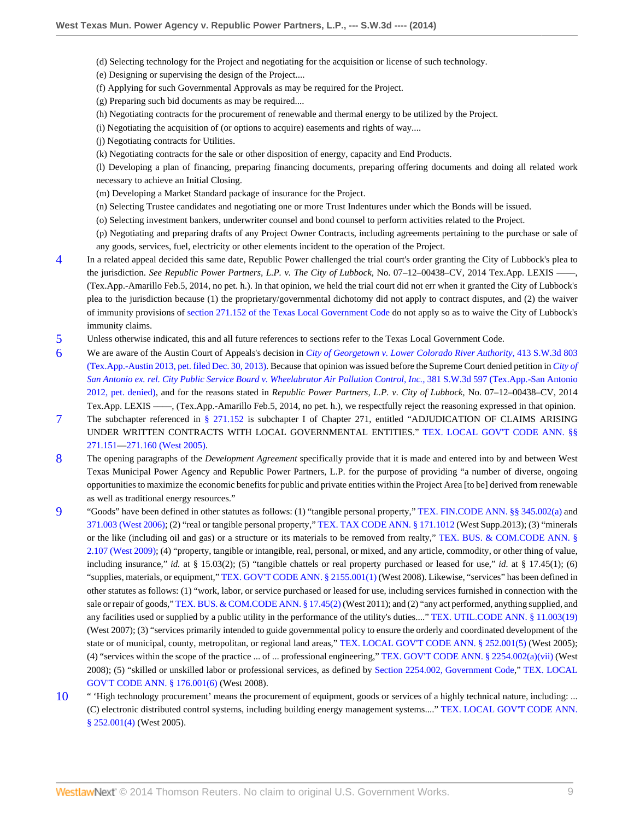- (d) Selecting technology for the Project and negotiating for the acquisition or license of such technology.
- (e) Designing or supervising the design of the Project....
- (f) Applying for such Governmental Approvals as may be required for the Project.
- (g) Preparing such bid documents as may be required....
- (h) Negotiating contracts for the procurement of renewable and thermal energy to be utilized by the Project.
- (i) Negotiating the acquisition of (or options to acquire) easements and rights of way....
- (j) Negotiating contracts for Utilities.
- (k) Negotiating contracts for the sale or other disposition of energy, capacity and End Products.

(l) Developing a plan of financing, preparing financing documents, preparing offering documents and doing all related work necessary to achieve an Initial Closing.

- (m) Developing a Market Standard package of insurance for the Project.
- (n) Selecting Trustee candidates and negotiating one or more Trust Indentures under which the Bonds will be issued.
- (o) Selecting investment bankers, underwriter counsel and bond counsel to perform activities related to the Project.
- (p) Negotiating and preparing drafts of any Project Owner Contracts, including agreements pertaining to the purchase or sale of any goods, services, fuel, electricity or other elements incident to the operation of the Project.
- <span id="page-8-0"></span>[4](#page-4-12) In a related appeal decided this same date, Republic Power challenged the trial court's order granting the City of Lubbock's plea to the jurisdiction. *See Republic Power Partners, L.P. v. The City of Lubbock*, No. 07–12–00438–CV, 2014 Tex.App. LEXIS -(Tex.App.-Amarillo Feb.5, 2014, no pet. h.). In that opinion, we held the trial court did not err when it granted the City of Lubbock's plea to the jurisdiction because (1) the proprietary/governmental dichotomy did not apply to contract disputes, and (2) the waiver of immunity provisions of [section 271.152 of the Texas Local Government Code](http://www.westlaw.com/Link/Document/FullText?findType=L&pubNum=1000179&cite=TXLGS271.152&originatingDoc=I36bb01d7902211e3a659df62eba144e8&refType=LQ&originationContext=document&vr=3.0&rs=cblt1.0&transitionType=DocumentItem&contextData=(sc.Search)) do not apply so as to waive the City of Lubbock's immunity claims.
- <span id="page-8-1"></span>[5](#page-5-2) Unless otherwise indicated, this and all future references to sections refer to the Texas Local Government Code.
- <span id="page-8-2"></span>[6](#page-5-3) We are aware of the Austin Court of Appeals's decision in *[City of Georgetown v. Lower Colorado River Authority,](http://www.westlaw.com/Link/Document/FullText?findType=Y&serNum=2031357035&pubNum=4644&originationContext=document&vr=3.0&rs=cblt1.0&transitionType=DocumentItem&contextData=(sc.Search))* 413 S.W.3d 803 [\(Tex.App.-Austin 2013, pet. filed Dec. 30, 2013\)](http://www.westlaw.com/Link/Document/FullText?findType=Y&serNum=2031357035&pubNum=4644&originationContext=document&vr=3.0&rs=cblt1.0&transitionType=DocumentItem&contextData=(sc.Search)). Because that opinion was issued before the Supreme Court denied petition in *[City of](http://www.westlaw.com/Link/Document/FullText?findType=Y&serNum=2028320728&pubNum=4644&originationContext=document&vr=3.0&rs=cblt1.0&transitionType=DocumentItem&contextData=(sc.Search)) [San Antonio ex. rel. City Public Service Board v. Wheelabrator Air Pollution Control, Inc.,](http://www.westlaw.com/Link/Document/FullText?findType=Y&serNum=2028320728&pubNum=4644&originationContext=document&vr=3.0&rs=cblt1.0&transitionType=DocumentItem&contextData=(sc.Search))* 381 S.W.3d 597 (Tex.App.-San Antonio [2012, pet. denied\)](http://www.westlaw.com/Link/Document/FullText?findType=Y&serNum=2028320728&pubNum=4644&originationContext=document&vr=3.0&rs=cblt1.0&transitionType=DocumentItem&contextData=(sc.Search)), and for the reasons stated in *Republic Power Partners, L.P. v. City of Lubbock,* No. 07–12–00438–CV, 2014 Tex.App. LEXIS ——, (Tex.App.-Amarillo Feb.5, 2014, no pet. h.), we respectfully reject the reasoning expressed in that opinion.
- <span id="page-8-3"></span>[7](#page-5-4) The subchapter referenced in [§ 271.152](http://www.westlaw.com/Link/Document/FullText?findType=L&pubNum=1000179&cite=TXLGS271.152&originatingDoc=I36bb01d7902211e3a659df62eba144e8&refType=LQ&originationContext=document&vr=3.0&rs=cblt1.0&transitionType=DocumentItem&contextData=(sc.Search)) is subchapter I of Chapter 271, entitled "ADJUDICATION OF CLAIMS ARISING UNDER WRITTEN CONTRACTS WITH LOCAL GOVERNMENTAL ENTITIES." [TEX. LOCAL GOV'T CODE ANN. §§](http://www.westlaw.com/Link/Document/FullText?findType=L&pubNum=1000179&cite=TXLGS271.151&originatingDoc=I36bb01d7902211e3a659df62eba144e8&refType=LQ&originationContext=document&vr=3.0&rs=cblt1.0&transitionType=DocumentItem&contextData=(sc.Search)) [271.151](http://www.westlaw.com/Link/Document/FullText?findType=L&pubNum=1000179&cite=TXLGS271.151&originatingDoc=I36bb01d7902211e3a659df62eba144e8&refType=LQ&originationContext=document&vr=3.0&rs=cblt1.0&transitionType=DocumentItem&contextData=(sc.Search))[—271.160 \(West 2005\)](http://www.westlaw.com/Link/Document/FullText?findType=L&pubNum=1000179&cite=TXLGS271.160&originatingDoc=I36bb01d7902211e3a659df62eba144e8&refType=LQ&originationContext=document&vr=3.0&rs=cblt1.0&transitionType=DocumentItem&contextData=(sc.Search)).
- <span id="page-8-4"></span>[8](#page-6-3) The opening paragraphs of the *Development Agreement* specifically provide that it is made and entered into by and between West Texas Municipal Power Agency and Republic Power Partners, L.P. for the purpose of providing "a number of diverse, ongoing opportunities to maximize the economic benefits for public and private entities within the Project Area [to be] derived from renewable as well as traditional energy resources."
- <span id="page-8-5"></span>[9](#page-7-5) "Goods" have been defined in other statutes as follows: (1) "tangible personal property," [TEX. FIN.CODE ANN. §§ 345.002\(a\)](http://www.westlaw.com/Link/Document/FullText?findType=L&pubNum=1015460&cite=TXFIS345.002&originatingDoc=I36bb01d7902211e3a659df62eba144e8&refType=LQ&originationContext=document&vr=3.0&rs=cblt1.0&transitionType=DocumentItem&contextData=(sc.Search)) and [371.003 \(West 2006\);](http://www.westlaw.com/Link/Document/FullText?findType=L&pubNum=1015460&cite=TXFIS371.003&originatingDoc=I36bb01d7902211e3a659df62eba144e8&refType=LQ&originationContext=document&vr=3.0&rs=cblt1.0&transitionType=DocumentItem&contextData=(sc.Search)) (2) "real or tangible personal property," [TEX. TAX CODE ANN. § 171.1012](http://www.westlaw.com/Link/Document/FullText?findType=L&pubNum=1000185&cite=TXTXS171.1012&originatingDoc=I36bb01d7902211e3a659df62eba144e8&refType=LQ&originationContext=document&vr=3.0&rs=cblt1.0&transitionType=DocumentItem&contextData=(sc.Search)) (West Supp.2013); (3) "minerals or the like (including oil and gas) or a structure or its materials to be removed from realty," [TEX. BUS. & COM.CODE ANN. §](http://www.westlaw.com/Link/Document/FullText?findType=L&pubNum=1000168&cite=TXBCS2.107&originatingDoc=I36bb01d7902211e3a659df62eba144e8&refType=LQ&originationContext=document&vr=3.0&rs=cblt1.0&transitionType=DocumentItem&contextData=(sc.Search)) [2.107 \(West 2009\);](http://www.westlaw.com/Link/Document/FullText?findType=L&pubNum=1000168&cite=TXBCS2.107&originatingDoc=I36bb01d7902211e3a659df62eba144e8&refType=LQ&originationContext=document&vr=3.0&rs=cblt1.0&transitionType=DocumentItem&contextData=(sc.Search)) (4) "property, tangible or intangible, real, personal, or mixed, and any article, commodity, or other thing of value, including insurance," *id.* at § 15.03(2); (5) "tangible chattels or real property purchased or leased for use," *id.* at § 17.45(1); (6) "supplies, materials, or equipment," [TEX. GOV'T CODE ANN. § 2155.001\(1\)](http://www.westlaw.com/Link/Document/FullText?findType=L&pubNum=1000176&cite=TXGTS2155.001&originatingDoc=I36bb01d7902211e3a659df62eba144e8&refType=LQ&originationContext=document&vr=3.0&rs=cblt1.0&transitionType=DocumentItem&contextData=(sc.Search)) (West 2008). Likewise, "services" has been defined in other statutes as follows: (1) "work, labor, or service purchased or leased for use, including services furnished in connection with the sale or repair of goods," [TEX. BUS. & COM.CODE ANN. § 17.45\(2\)](http://www.westlaw.com/Link/Document/FullText?findType=L&pubNum=1000168&cite=TXBCS17.45&originatingDoc=I36bb01d7902211e3a659df62eba144e8&refType=LQ&originationContext=document&vr=3.0&rs=cblt1.0&transitionType=DocumentItem&contextData=(sc.Search)) (West 2011); and (2) "any act performed, anything supplied, and any facilities used or supplied by a public utility in the performance of the utility's duties...." [TEX. UTIL.CODE ANN. § 11.003\(19\)](http://www.westlaw.com/Link/Document/FullText?findType=L&pubNum=1015461&cite=TXUTS11.003&originatingDoc=I36bb01d7902211e3a659df62eba144e8&refType=LQ&originationContext=document&vr=3.0&rs=cblt1.0&transitionType=DocumentItem&contextData=(sc.Search)) (West 2007); (3) "services primarily intended to guide governmental policy to ensure the orderly and coordinated development of the state or of municipal, county, metropolitan, or regional land areas," [TEX. LOCAL GOV'T CODE ANN. § 252.001\(5\)](http://www.westlaw.com/Link/Document/FullText?findType=L&pubNum=1000179&cite=TXLGS252.001&originatingDoc=I36bb01d7902211e3a659df62eba144e8&refType=LQ&originationContext=document&vr=3.0&rs=cblt1.0&transitionType=DocumentItem&contextData=(sc.Search)) (West 2005); (4) "services within the scope of the practice ... of ... professional engineering," [TEX. GOV'T CODE ANN. § 2254.002\(a\)\(vii\)](http://www.westlaw.com/Link/Document/FullText?findType=L&pubNum=1000176&cite=TXGTS2254.002&originatingDoc=I36bb01d7902211e3a659df62eba144e8&refType=LQ&originationContext=document&vr=3.0&rs=cblt1.0&transitionType=DocumentItem&contextData=(sc.Search)) (West 2008); (5) "skilled or unskilled labor or professional services, as defined by [Section 2254.002, Government Code,](http://www.westlaw.com/Link/Document/FullText?findType=L&pubNum=1000176&cite=TXGTS2254.002&originatingDoc=I36bb01d7902211e3a659df62eba144e8&refType=LQ&originationContext=document&vr=3.0&rs=cblt1.0&transitionType=DocumentItem&contextData=(sc.Search))" [TEX. LOCAL](http://www.westlaw.com/Link/Document/FullText?findType=L&pubNum=1000179&cite=TXLGS176.001&originatingDoc=I36bb01d7902211e3a659df62eba144e8&refType=LQ&originationContext=document&vr=3.0&rs=cblt1.0&transitionType=DocumentItem&contextData=(sc.Search)) [GOV'T CODE ANN. § 176.001\(6\)](http://www.westlaw.com/Link/Document/FullText?findType=L&pubNum=1000179&cite=TXLGS176.001&originatingDoc=I36bb01d7902211e3a659df62eba144e8&refType=LQ&originationContext=document&vr=3.0&rs=cblt1.0&transitionType=DocumentItem&contextData=(sc.Search)) (West 2008).
- <span id="page-8-6"></span>[10](#page-7-6) " 'High technology procurement' means the procurement of equipment, goods or services of a highly technical nature, including: ... (C) electronic distributed control systems, including building energy management systems...." [TEX. LOCAL GOV'T CODE ANN.](http://www.westlaw.com/Link/Document/FullText?findType=L&pubNum=1000179&cite=TXLGS252.001&originatingDoc=I36bb01d7902211e3a659df62eba144e8&refType=LQ&originationContext=document&vr=3.0&rs=cblt1.0&transitionType=DocumentItem&contextData=(sc.Search)) [§ 252.001\(4\)](http://www.westlaw.com/Link/Document/FullText?findType=L&pubNum=1000179&cite=TXLGS252.001&originatingDoc=I36bb01d7902211e3a659df62eba144e8&refType=LQ&originationContext=document&vr=3.0&rs=cblt1.0&transitionType=DocumentItem&contextData=(sc.Search)) (West 2005).